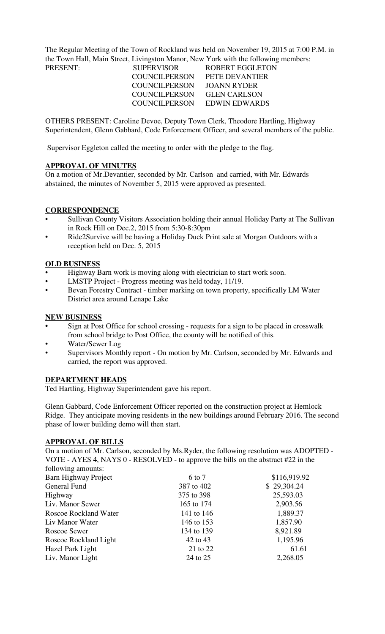The Regular Meeting of the Town of Rockland was held on November 19, 2015 at 7:00 P.M. in the Town Hall, Main Street, Livingston Manor, New York with the following members:

| PRESENT: | <b>SUPERVISOR</b>    | <b>ROBERT EGGLETON</b>      |
|----------|----------------------|-----------------------------|
|          | <b>COUNCILPERSON</b> | PETE DEVANTIER              |
|          | COUNCILPERSON        | JOANN RYDER                 |
|          | COUNCILPERSON        | <b>GLEN CARLSON</b>         |
|          |                      | COUNCILPERSON EDWIN EDWARDS |
|          |                      |                             |

OTHERS PRESENT: Caroline Devoe, Deputy Town Clerk, Theodore Hartling, Highway Superintendent, Glenn Gabbard, Code Enforcement Officer, and several members of the public.

Supervisor Eggleton called the meeting to order with the pledge to the flag.

# **APPROVAL OF MINUTES**

On a motion of Mr.Devantier, seconded by Mr. Carlson and carried, with Mr. Edwards abstained, the minutes of November 5, 2015 were approved as presented.

## **CORRESPONDENCE**

- Sullivan County Visitors Association holding their annual Holiday Party at The Sullivan in Rock Hill on Dec.2, 2015 from 5:30-8:30pm
- Ride2Survive will be having a Holiday Duck Print sale at Morgan Outdoors with a reception held on Dec. 5, 2015

## **OLD BUSINESS**

- Highway Barn work is moving along with electrician to start work soon.
- LMSTP Project Progress meeting was held today, 11/19.
- Bevan Forestry Contract timber marking on town property, specifically LM Water District area around Lenape Lake

### **NEW BUSINESS**

- **•** Sign at Post Office for school crossing requests for a sign to be placed in crosswalk from school bridge to Post Office, the county will be notified of this.
- Water/Sewer Log
- Supervisors Monthly report On motion by Mr. Carlson, seconded by Mr. Edwards and carried, the report was approved.

#### **DEPARTMENT HEADS**

Ted Hartling, Highway Superintendent gave his report.

Glenn Gabbard, Code Enforcement Officer reported on the construction project at Hemlock Ridge. They anticipate moving residents in the new buildings around February 2016. The second phase of lower building demo will then start.

#### **APPROVAL OF BILLS**

On a motion of Mr. Carlson, seconded by Ms.Ryder, the following resolution was ADOPTED - VOTE - AYES 4, NAYS 0 - RESOLVED - to approve the bills on the abstract #22 in the following amounts:

| $10110 + 2117$        |            |              |
|-----------------------|------------|--------------|
| Barn Highway Project  | 6 to 7     | \$116,919.92 |
| General Fund          | 387 to 402 | \$29,304.24  |
| Highway               | 375 to 398 | 25,593.03    |
| Liv. Manor Sewer      | 165 to 174 | 2,903.56     |
| Roscoe Rockland Water | 141 to 146 | 1,889.37     |
| Liv Manor Water       | 146 to 153 | 1,857.90     |
| Roscoe Sewer          | 134 to 139 | 8,921.89     |
| Roscoe Rockland Light | 42 to 43   | 1,195.96     |
| Hazel Park Light      | 21 to 22   | 61.61        |
| Liv. Manor Light      | 24 to 25   | 2,268.05     |
|                       |            |              |